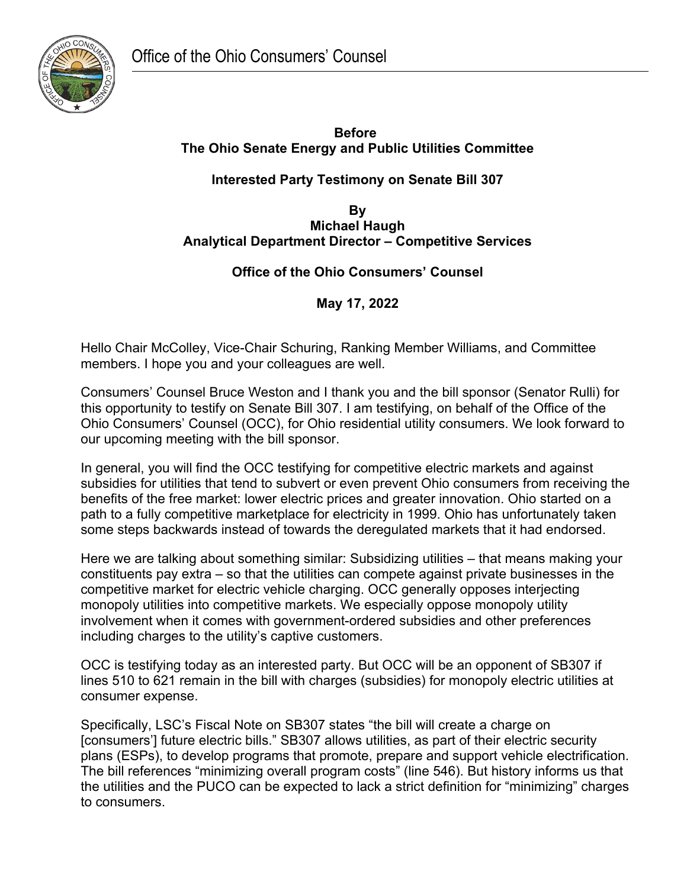

#### **Before The Ohio Senate Energy and Public Utilities Committee**

#### **Interested Party Testimony on Senate Bill 307**

#### **By Michael Haugh Analytical Department Director – Competitive Services**

#### **Office of the Ohio Consumers' Counsel**

### **May 17, 2022**

Hello Chair McColley, Vice-Chair Schuring, Ranking Member Williams, and Committee members. I hope you and your colleagues are well.

Consumers' Counsel Bruce Weston and I thank you and the bill sponsor (Senator Rulli) for this opportunity to testify on Senate Bill 307. I am testifying, on behalf of the Office of the Ohio Consumers' Counsel (OCC), for Ohio residential utility consumers. We look forward to our upcoming meeting with the bill sponsor.

In general, you will find the OCC testifying for competitive electric markets and against subsidies for utilities that tend to subvert or even prevent Ohio consumers from receiving the benefits of the free market: lower electric prices and greater innovation. Ohio started on a path to a fully competitive marketplace for electricity in 1999. Ohio has unfortunately taken some steps backwards instead of towards the deregulated markets that it had endorsed.

Here we are talking about something similar: Subsidizing utilities – that means making your constituents pay extra – so that the utilities can compete against private businesses in the competitive market for electric vehicle charging. OCC generally opposes interjecting monopoly utilities into competitive markets. We especially oppose monopoly utility involvement when it comes with government-ordered subsidies and other preferences including charges to the utility's captive customers.

OCC is testifying today as an interested party. But OCC will be an opponent of SB307 if lines 510 to 621 remain in the bill with charges (subsidies) for monopoly electric utilities at consumer expense.

Specifically, LSC's Fiscal Note on SB307 states "the bill will create a charge on [consumers'] future electric bills." SB307 allows utilities, as part of their electric security plans (ESPs), to develop programs that promote, prepare and support vehicle electrification. The bill references "minimizing overall program costs" (line 546). But history informs us that the utilities and the PUCO can be expected to lack a strict definition for "minimizing" charges to consumers.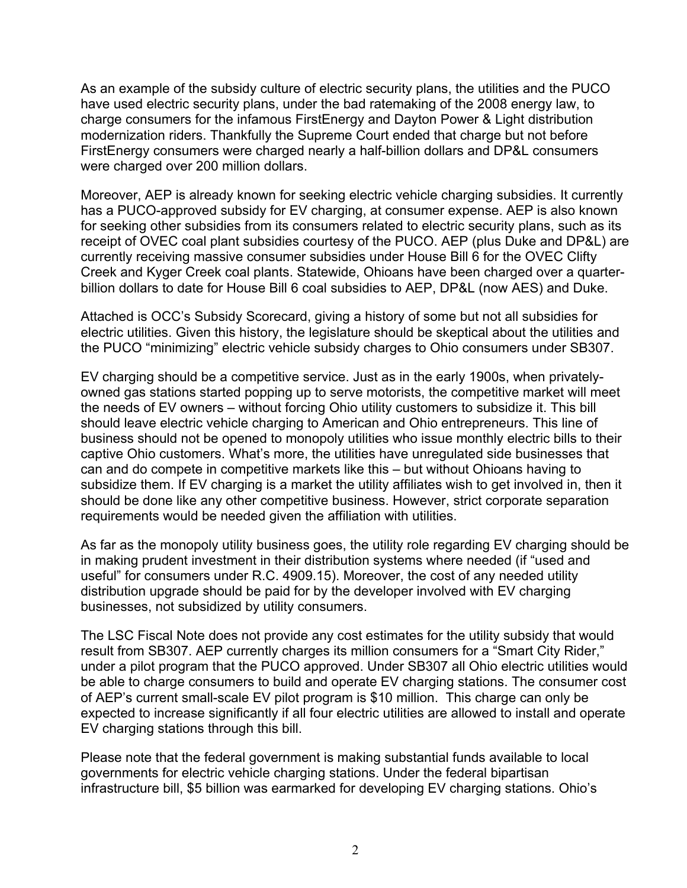As an example of the subsidy culture of electric security plans, the utilities and the PUCO have used electric security plans, under the bad ratemaking of the 2008 energy law, to charge consumers for the infamous FirstEnergy and Dayton Power & Light distribution modernization riders. Thankfully the Supreme Court ended that charge but not before FirstEnergy consumers were charged nearly a half-billion dollars and DP&L consumers were charged over 200 million dollars.

Moreover, AEP is already known for seeking electric vehicle charging subsidies. It currently has a PUCO-approved subsidy for EV charging, at consumer expense. AEP is also known for seeking other subsidies from its consumers related to electric security plans, such as its receipt of OVEC coal plant subsidies courtesy of the PUCO. AEP (plus Duke and DP&L) are currently receiving massive consumer subsidies under House Bill 6 for the OVEC Clifty Creek and Kyger Creek coal plants. Statewide, Ohioans have been charged over a quarterbillion dollars to date for House Bill 6 coal subsidies to AEP, DP&L (now AES) and Duke.

Attached is OCC's Subsidy Scorecard, giving a history of some but not all subsidies for electric utilities. Given this history, the legislature should be skeptical about the utilities and the PUCO "minimizing" electric vehicle subsidy charges to Ohio consumers under SB307.

EV charging should be a competitive service. Just as in the early 1900s, when privatelyowned gas stations started popping up to serve motorists, the competitive market will meet the needs of EV owners – without forcing Ohio utility customers to subsidize it. This bill should leave electric vehicle charging to American and Ohio entrepreneurs. This line of business should not be opened to monopoly utilities who issue monthly electric bills to their captive Ohio customers. What's more, the utilities have unregulated side businesses that can and do compete in competitive markets like this – but without Ohioans having to subsidize them. If EV charging is a market the utility affiliates wish to get involved in, then it should be done like any other competitive business. However, strict corporate separation requirements would be needed given the affiliation with utilities.

As far as the monopoly utility business goes, the utility role regarding EV charging should be in making prudent investment in their distribution systems where needed (if "used and useful" for consumers under R.C. 4909.15). Moreover, the cost of any needed utility distribution upgrade should be paid for by the developer involved with EV charging businesses, not subsidized by utility consumers.

The LSC Fiscal Note does not provide any cost estimates for the utility subsidy that would result from SB307. AEP currently charges its million consumers for a "Smart City Rider," under a pilot program that the PUCO approved. Under SB307 all Ohio electric utilities would be able to charge consumers to build and operate EV charging stations. The consumer cost of AEP's current small-scale EV pilot program is \$10 million. This charge can only be expected to increase significantly if all four electric utilities are allowed to install and operate EV charging stations through this bill.

Please note that the federal government is making substantial funds available to local governments for electric vehicle charging stations. Under the federal bipartisan infrastructure bill, \$5 billion was earmarked for developing EV charging stations. Ohio's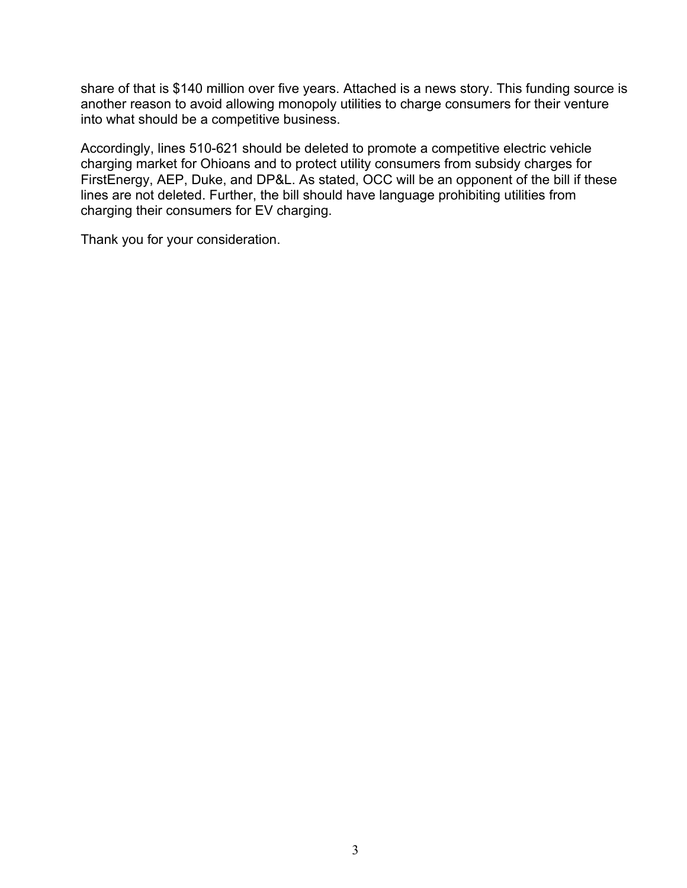share of that is \$140 million over five years. Attached is a news story. This funding source is another reason to avoid allowing monopoly utilities to charge consumers for their venture into what should be a competitive business.

Accordingly, lines 510-621 should be deleted to promote a competitive electric vehicle charging market for Ohioans and to protect utility consumers from subsidy charges for FirstEnergy, AEP, Duke, and DP&L. As stated, OCC will be an opponent of the bill if these lines are not deleted. Further, the bill should have language prohibiting utilities from charging their consumers for EV charging.

Thank you for your consideration.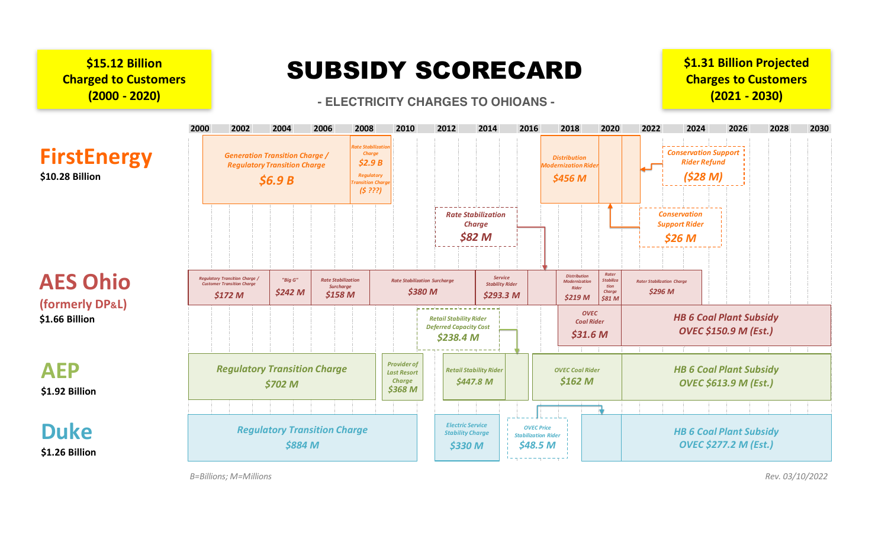**\$15.12 Billion Charged to Customers (2000 - 2020)**

# SUBSIDY SCORECARD

 **- ELECTRICITY CHARGES TO OHIOANS -**

**\$1.31 Billion Projected Charges to Customers (2021 - 2030)**



*B=Billions; M=Millions Rev. 03/10/2022*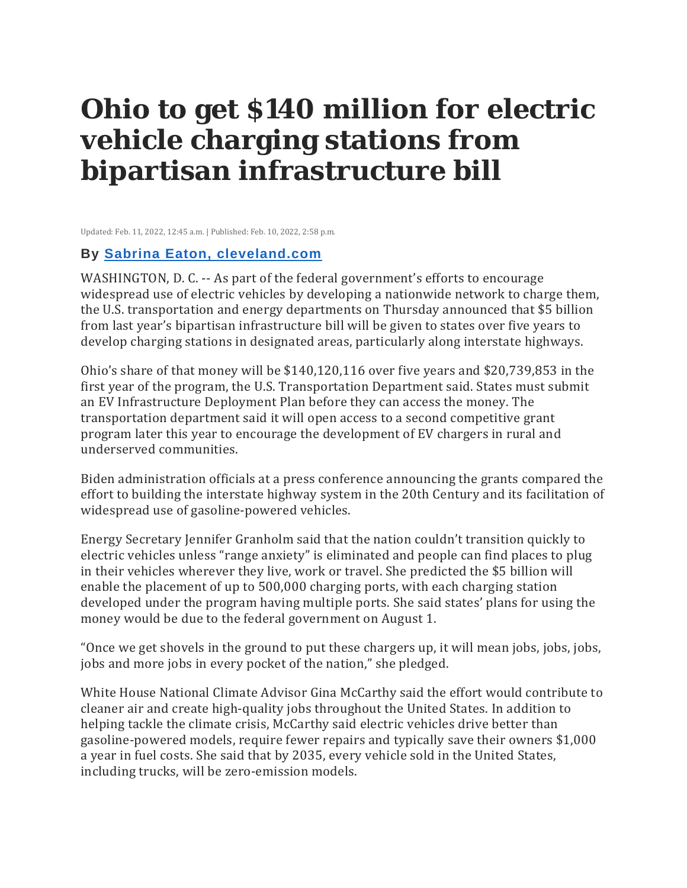## **Ohio to get \$140 million for electric vehicle charging stations from bipartisan infrastructure bill**

Updated: Feb. 11, 2022, 12:45 a.m. | Published: Feb. 10, 2022, 2:58 p.m.

#### **By [Sabrina](http://www.cleveland.com/staff/seaton/posts.html) Eaton, [cleveland.com](http://www.cleveland.com/staff/seaton/posts.html)**

WASHINGTON, D. C. -- As part of the federal government's efforts to encourage widespread use of electric vehicles by developing a nationwide network to charge them, the U.S. transportation and energy departments on Thursday announced that \$5 billion from last year's bipartisan infrastructure bill will be given to states over five years to develop charging stations in designated areas, particularly along interstate highways.

Ohio's share of that money will be \$140,120,116 over five years and \$20,739,853 in the first year of the program, the U.S. Transportation Department said. States must submit an EV Infrastructure Deployment Plan before they can access the money. The transportation department said it will open access to a second competitive grant program later this year to encourage the development of EV chargers in rural and underserved communities.

Biden administration officials at a press conference announcing the grants compared the effort to building the interstate highway system in the 20th Century and its facilitation of widespread use of gasoline-powered vehicles.

Energy Secretary Jennifer Granholm said that the nation couldn't transition quickly to electric vehicles unless "range anxiety" is eliminated and people can find places to plug in their vehicles wherever they live, work or travel. She predicted the \$5 billion will enable the placement of up to 500,000 charging ports, with each charging station developed under the program having multiple ports. She said states' plans for using the money would be due to the federal government on August 1.

"Once we get shovels in the ground to put these chargers up, it will mean jobs, jobs, jobs, jobs and more jobs in every pocket of the nation," she pledged.

White House National Climate Advisor Gina McCarthy said the effort would contribute to cleaner air and create high-quality jobs throughout the United States. In addition to helping tackle the climate crisis, McCarthy said electric vehicles drive better than gasoline-powered models, require fewer repairs and typically save their owners \$1,000 a year in fuel costs. She said that by 2035, every vehicle sold in the United States, including trucks, will be zero-emission models.